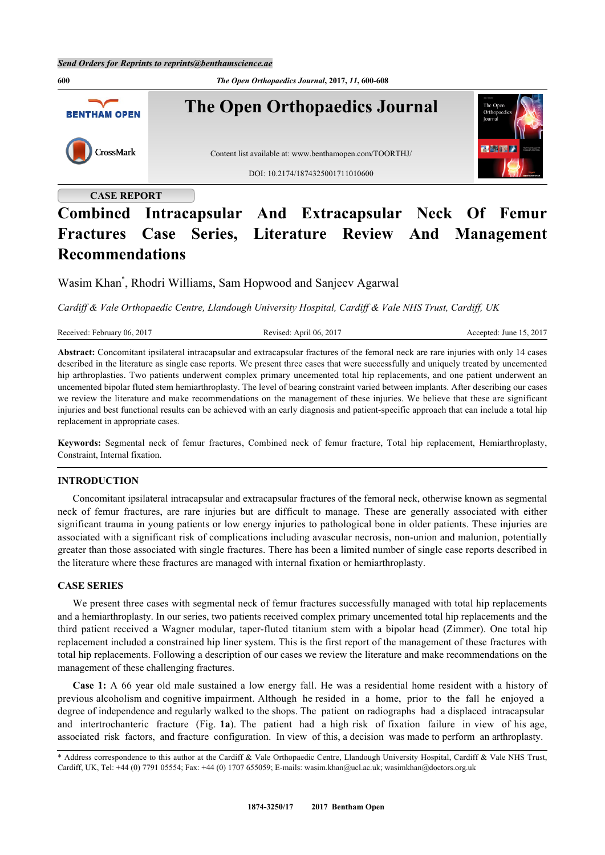

# **Combined Intracapsular And Extracapsular Neck Of Femur Fractures Case Series, Literature Review And Management Recommendations**

Wasim Khan[\\*](#page-0-0) , Rhodri Williams, Sam Hopwood and Sanjeev Agarwal

*Cardiff & Vale Orthopaedic Centre, Llandough University Hospital, Cardiff & Vale NHS Trust, Cardiff, UK*

**Abstract:** Concomitant ipsilateral intracapsular and extracapsular fractures of the femoral neck are rare injuries with only 14 cases described in the literature as single case reports. We present three cases that were successfully and uniquely treated by uncemented hip arthroplasties. Two patients underwent complex primary uncemented total hip replacements, and one patient underwent an uncemented bipolar fluted stem hemiarthroplasty. The level of bearing constraint varied between implants. After describing our cases we review the literature and make recommendations on the management of these injuries. We believe that these are significant injuries and best functional results can be achieved with an early diagnosis and patient-specific approach that can include a total hip replacement in appropriate cases.

**Keywords:** Segmental neck of femur fractures, Combined neck of femur fracture, Total hip replacement, Hemiarthroplasty, Constraint, Internal fixation.

### **INTRODUCTION**

Concomitant ipsilateral intracapsular and extracapsular fractures of the femoral neck, otherwise known as segmental neck of femur fractures, are rare injuries but are difficult to manage. These are generally associated with either significant trauma in young patients or low energy injuries to pathological bone in older patients. These injuries are associated with a significant risk of complications including avascular necrosis, non-union and malunion, potentially greater than those associated with single fractures. There has been a limited number of single case reports described in the literature where these fractures are managed with internal fixation or hemiarthroplasty.

# **CASE SERIES**

We present three cases with segmental neck of femur fractures successfully managed with total hip replacements and a hemiarthroplasty. In our series, two patients received complex primary uncemented total hip replacements and the third patient received a Wagner modular, taper-fluted titanium stem with a bipolar head (Zimmer). One total hip replacement included a constrained hip liner system. This is the first report of the management of these fractures with total hip replacements. Following a description of our cases we review the literature and make recommendations on the management of these challenging fractures.

**Case 1:** A 66 year old male sustained a low energy fall. He was a residential home resident with a history of previous alcoholism and cognitive impairment. Although he resided in a home, prior to the fall he enjoyed a degree of independence and regularly walked to the shops. The patient on radiographs had a displaced intracapsular and intertrochanteric fracture (Fig. **[1a](#page-1-0)**). The patient had a high risk of fixation failure in view of his age, associated risk factors, and fracture configuration. In view of this, a decision was made to perform an arthroplasty.

<span id="page-0-0"></span><sup>\*</sup> Address correspondence to this author at the Cardiff & Vale Orthopaedic Centre, Llandough University Hospital, Cardiff & Vale NHS Trust, Cardiff, UK, Tel: +44 (0) 7791 05554; Fax: +44 (0) 1707 655059; E-mails: [wasim.khan@ucl.ac.uk](mailto:wasim.khan@ucl.ac.uk); [wasimkhan@doctors.org.uk](mailto:wasimkhan@doctors.org.uk)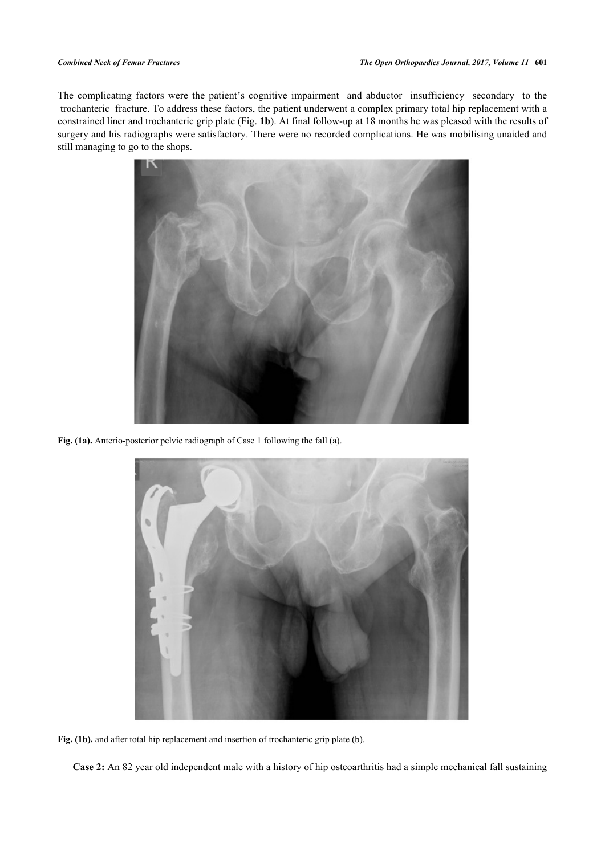The complicating factors were the patient's cognitive impairment and abductor insufficiency secondary to the trochanteric fracture. To address these factors, the patient underwent a complex primary total hip replacement with a constrained liner and trochanteric grip plate (Fig. **[1b](#page-1-0)**). At final follow-up at 18 months he was pleased with the results of surgery and his radiographs were satisfactory. There were no recorded complications. He was mobilising unaided and still managing to go to the shops.



**Fig. (1a).** Anterio-posterior pelvic radiograph of Case 1 following the fall (a).

<span id="page-1-0"></span>

**Fig. (1b).** and after total hip replacement and insertion of trochanteric grip plate (b).

**Case 2:** An 82 year old independent male with a history of hip osteoarthritis had a simple mechanical fall sustaining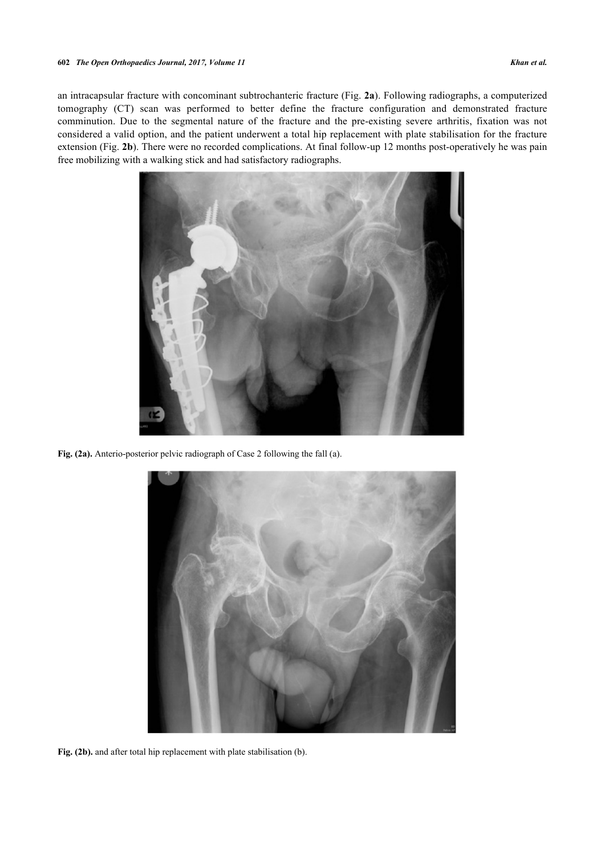an intracapsular fracture with concominant subtrochanteric fracture (Fig. **[2a](#page-1-0)**). Following radiographs, a computerized tomography (CT) scan was performed to better define the fracture configuration and demonstrated fracture comminution. Due to the segmental nature of the fracture and the pre-existing severe arthritis, fixation was not considered a valid option, and the patient underwent a total hip replacement with plate stabilisation for the fracture extension (Fig. **[2b](#page-2-0)**). There were no recorded complications. At final follow-up 12 months post-operatively he was pain free mobilizing with a walking stick and had satisfactory radiographs.



**Fig. (2a).** Anterio-posterior pelvic radiograph of Case 2 following the fall (a).

<span id="page-2-0"></span>

**Fig. (2b).** and after total hip replacement with plate stabilisation (b).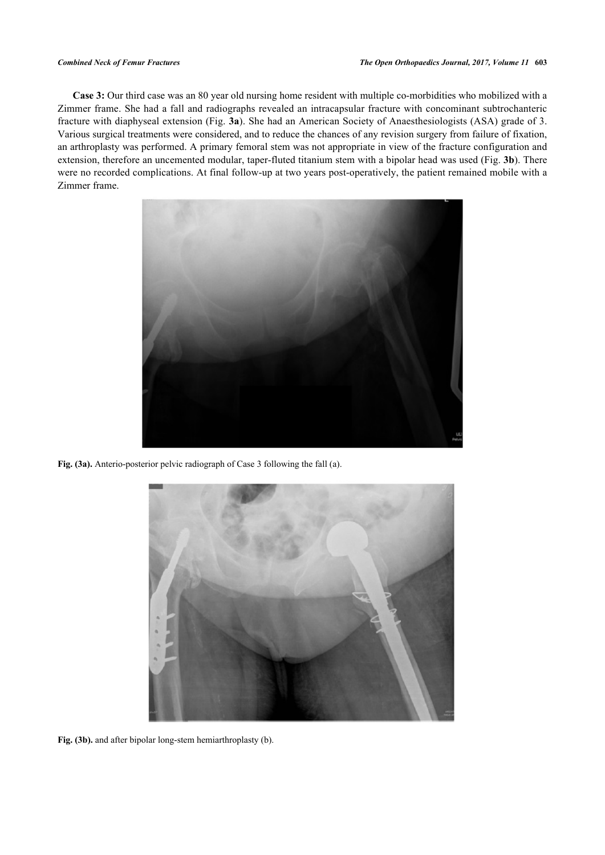**Case 3:** Our third case was an 80 year old nursing home resident with multiple co-morbidities who mobilized with a Zimmer frame. She had a fall and radiographs revealed an intracapsular fracture with concominant subtrochanteric fracture with diaphyseal extension (Fig. **[3a](#page-3-0)**). She had an American Society of Anaesthesiologists (ASA) grade of 3. Various surgical treatments were considered, and to reduce the chances of any revision surgery from failure of fixation, an arthroplasty was performed. A primary femoral stem was not appropriate in view of the fracture configuration and extension, therefore an uncemented modular, taper-fluted titanium stem with a bipolar head was used (Fig. **[3b](#page-3-0)**). There were no recorded complications. At final follow-up at two years post-operatively, the patient remained mobile with a Zimmer frame.



**Fig. (3a).** Anterio-posterior pelvic radiograph of Case 3 following the fall (a).

<span id="page-3-0"></span>

**Fig. (3b).** and after bipolar long-stem hemiarthroplasty (b).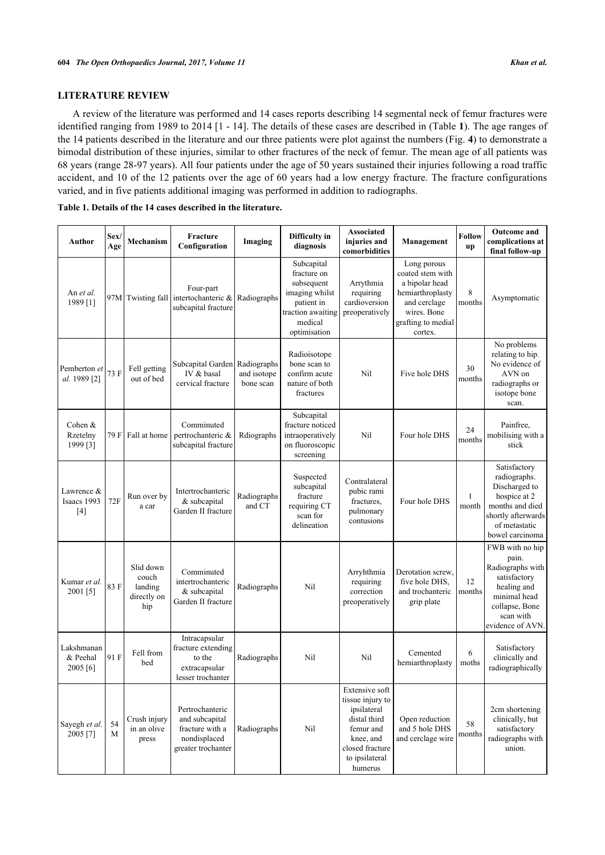# **LITERATURE REVIEW**

 $\mathsf{l}$ 

A review of the literature was performed and 14 cases reports describing 14 segmental neck of femur fractures were identified ranging from 1989 to 2014 [[1](#page-7-0) - [14](#page-8-0)]. The details of these cases are described in (Table **[1](#page-4-0)**). The age ranges of the 14 patients described in the literature and our three patients were plot against the numbers (Fig. **[4](#page-6-0)**) to demonstrate a bimodal distribution of these injuries, similar to other fractures of the neck of femur. The mean age of all patients was 68 years (range 28-97 years). All four patients under the age of 50 years sustained their injuries following a road traffic accident, and 10 of the 12 patients over the age of 60 years had a low energy fracture. The fracture configurations varied, and in five patients additional imaging was performed in addition to radiographs.

| Author                                  | Sex/<br>Age | Mechanism                                           | Fracture<br>Configuration                                                                  | Imaging                                 | Difficulty in<br>diagnosis                                                                                              | <b>Associated</b><br>injuries and<br>comorbidities                                                                                          | Management                                                                                                                            | <b>Follow</b><br>up | <b>Outcome</b> and<br>complications at<br>final follow-up                                                                                     |
|-----------------------------------------|-------------|-----------------------------------------------------|--------------------------------------------------------------------------------------------|-----------------------------------------|-------------------------------------------------------------------------------------------------------------------------|---------------------------------------------------------------------------------------------------------------------------------------------|---------------------------------------------------------------------------------------------------------------------------------------|---------------------|-----------------------------------------------------------------------------------------------------------------------------------------------|
| An et al.<br>1989 [1]                   |             |                                                     | Four-part<br>97M Twisting fall intertochanteric &<br>subcapital fracture                   | Radiographs                             | Subcapital<br>fracture on<br>subsequent<br>imaging whilst<br>patient in<br>traction awaiting<br>medical<br>optimisation | Arrythmia<br>requiring<br>cardioversion<br>preoperatively                                                                                   | Long porous<br>coated stem with<br>a bipolar head<br>hemiarthroplasty<br>and cerclage<br>wires. Bone<br>grafting to medial<br>cortex. | 8<br>months         | Asymptomatic                                                                                                                                  |
| Pemberton et<br>al. 1989 <sup>[2]</sup> | 73 F        | Fell getting<br>out of bed                          | Subcapital Garden<br>IV & basal<br>cervical fracture                                       | Radiographs<br>and isotope<br>bone scan | Radioisotope<br>bone scan to<br>confirm acute<br>nature of both<br>fractures                                            | Nil                                                                                                                                         | Five hole DHS                                                                                                                         | 30<br>months        | No problems<br>relating to hip.<br>No evidence of<br>AVN on<br>radiographs or<br>isotope bone<br>scan.                                        |
| Cohen $&$<br>Rzetelny<br>1999 [3]       |             | 79 F Fall at home                                   | Comminuted<br>pertrochanteric &<br>subcapital fracture                                     | Rdiographs                              | Subcapital<br>fracture noticed<br>intraoperatively<br>on fluoroscopic<br>screening                                      | Nil                                                                                                                                         | Four hole DHS                                                                                                                         | 24<br>months        | Painfree,<br>mobilising with a<br>stick                                                                                                       |
| Lawrence &<br>Isaacs 1993<br>$[4]$      | 72F         | Run over by<br>a car                                | Intertrochanteric<br>& subcapital<br>Garden II fracture                                    | Radiographs<br>and CT                   | Suspected<br>subcapital<br>fracture<br>requiring CT<br>scan for<br>delineation                                          | Contralateral<br>pubic rami<br>fractures.<br>pulmonary<br>contusions                                                                        | Four hole DHS                                                                                                                         | 1<br>month          | Satisfactory<br>radiographs.<br>Discharged to<br>hospice at 2<br>months and died<br>shortly afterwards<br>of metastatic<br>bowel carcinoma    |
| Kumar et al.<br>2001 [5]                | 83F         | Slid down<br>couch<br>landing<br>directly on<br>hip | Comminuted<br>intertrochanteric<br>& subcapital<br>Garden II fracture                      | Radiographs                             | Nil                                                                                                                     | Arryhthmia<br>requiring<br>correction<br>preoperatively                                                                                     | Derotation screw,<br>five hole DHS.<br>and trochanteric<br>grip plate                                                                 | 12<br>months        | FWB with no hip<br>pain.<br>Radiographs with<br>satisfactory<br>healing and<br>minimal head<br>collapse, Bone<br>scan with<br>evidence of AVN |
| Lakshmanan<br>& Peehal<br>2005 [6]      | 91 F        | Fell from<br>bed                                    | Intracapsular<br>fracture extending<br>to the<br>extracapsular<br>lesser trochanter        | Radiographs                             | Nil                                                                                                                     | Nil                                                                                                                                         | Cemented<br>hemiarthroplasty                                                                                                          | 6<br>moths          | Satisfactory<br>clinically and<br>radiographically                                                                                            |
| Sayegh et al.<br>2005 [7]               | 54<br>M     | Crush injury<br>in an olive<br>press                | Pertrochanteric<br>and subcapital<br>fracture with a<br>nondisplaced<br>greater trochanter | Radiographs                             | Nil                                                                                                                     | Extensive soft<br>tissue injury to<br>ipsilateral<br>distal third<br>femur and<br>knee, and<br>closed fracture<br>to ipsilateral<br>humerus | Open reduction<br>and 5 hole DHS<br>and cerclage wire                                                                                 | 58<br>months        | 2cm shortening<br>clinically, but<br>satisfactory<br>radiographs with<br>union.                                                               |

<span id="page-4-0"></span>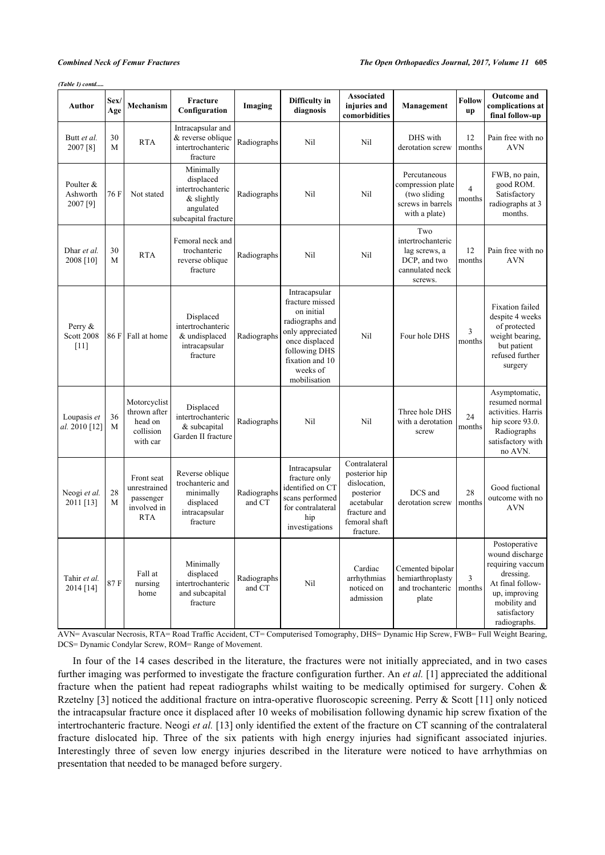*(Table 1) contd.....*

| Author                                  | Sex/<br>Age       | Mechanism                                                            | Fracture<br>Configuration                                                                       | Imaging               | Difficulty in<br>diagnosis                                                                                                                                              | <b>Associated</b><br>injuries and<br>comorbidities                                                                      | Management                                                                               | Follow<br>up | <b>Outcome</b> and<br>complications at<br>final follow-up                                                                                              |
|-----------------------------------------|-------------------|----------------------------------------------------------------------|-------------------------------------------------------------------------------------------------|-----------------------|-------------------------------------------------------------------------------------------------------------------------------------------------------------------------|-------------------------------------------------------------------------------------------------------------------------|------------------------------------------------------------------------------------------|--------------|--------------------------------------------------------------------------------------------------------------------------------------------------------|
| Butt et al.<br>2007 [8]                 | 30<br>$\mathbf M$ | <b>RTA</b>                                                           | Intracapsular and<br>& reverse oblique<br>intertrochanteric<br>fracture                         | Radiographs           | Nil                                                                                                                                                                     | Nil                                                                                                                     | DHS with<br>derotation screw                                                             | 12<br>months | Pain free with no<br><b>AVN</b>                                                                                                                        |
| Poulter &<br>Ashworth<br>2007[9]        | 76 F              | Not stated                                                           | Minimally<br>displaced<br>intertrochanteric<br>$&$ slightly<br>angulated<br>subcapital fracture | Radiographs           | Nil                                                                                                                                                                     | Nil                                                                                                                     | Percutaneous<br>compression plate<br>(two sliding)<br>screws in barrels<br>with a plate) | 4<br>months  | FWB, no pain,<br>good ROM.<br>Satisfactory<br>radiographs at 3<br>months.                                                                              |
| Dhar et al.<br>2008 [10]                | 30<br>M           | <b>RTA</b>                                                           | Femoral neck and<br>trochanteric<br>reverse oblique<br>fracture                                 | Radiographs           | Nil                                                                                                                                                                     | Nil                                                                                                                     | Two<br>intertrochanteric<br>lag screws, a<br>DCP, and two<br>cannulated neck<br>screws.  | 12<br>months | Pain free with no<br><b>AVN</b>                                                                                                                        |
| Perry $\&$<br><b>Scott 2008</b><br>[11] | 86 F              | Fall at home                                                         | Displaced<br>intertrochanteric<br>& undisplaced<br>intracapsular<br>fracture                    | Radiographs           | Intracapsular<br>fracture missed<br>on initial<br>radiographs and<br>only appreciated<br>once displaced<br>following DHS<br>fixation and 10<br>weeks of<br>mobilisation | Nil                                                                                                                     | Four hole DHS                                                                            | 3<br>months  | <b>Fixation</b> failed<br>despite 4 weeks<br>of protected<br>weight bearing,<br>but patient<br>refused further<br>surgery                              |
| Loupasis et<br>al. 2010 [12]            | 36<br>M           | Motorcyclist<br>thrown after<br>head on<br>collision<br>with car     | Displaced<br>intertrochanteric<br>& subcapital<br>Garden II fracture                            | Radiographs           | Nil                                                                                                                                                                     | Nil                                                                                                                     | Three hole DHS<br>with a derotation<br>screw                                             | 24<br>months | Asymptomatic,<br>resumed normal<br>activities. Harris<br>hip score 93.0.<br>Radiographs<br>satisfactory with<br>no AVN.                                |
| Neogi et al.<br>2011 [13]               | 28<br>M           | Front seat<br>unrestrained<br>passenger<br>involved in<br><b>RTA</b> | Reverse oblique<br>trochanteric and<br>minimally<br>displaced<br>intracapsular<br>fracture      | Radiographs<br>and CT | Intracapsular<br>fracture only<br>identified on CT<br>scans performed<br>for contralateral<br>hip<br>investigations                                                     | Contralateral<br>posterior hip<br>dislocation,<br>posterior<br>acetabular<br>fracture and<br>femoral shaft<br>fracture. | DCS and<br>derotation screw                                                              | 28<br>months | Good fuctional<br>outcome with no<br><b>AVN</b>                                                                                                        |
| Tahir et al.<br>2014 [14]               | 87F               | Fall at<br>nursing<br>home                                           | Minimally<br>displaced<br>intertrochanteric<br>and subcapital<br>fracture                       | Radiographs<br>and CT | Nil                                                                                                                                                                     | Cardiac<br>arrhythmias<br>noticed on<br>admission                                                                       | Cemented bipolar<br>hemiarthroplasty<br>and trochanteric<br>plate                        | 3<br>months  | Postoperative<br>wound discharge<br>requiring vaccum<br>dressing.<br>At final follow-<br>up, improving<br>mobility and<br>satisfactory<br>radiographs. |

AVN= Avascular Necrosis, RTA= Road Traffic Accident, CT= Computerised Tomography, DHS= Dynamic Hip Screw, FWB= Full Weight Bearing, DCS= Dynamic Condylar Screw, ROM= Range of Movement.

In four of the 14 cases described in the literature, the fractures were not initially appreciated, and in two cases further imaging was performed to investigate the fracture configuration further. An *et al.* [[1\]](#page-7-0) appreciated the additional fracture when the patient had repeat radiographs whilst waiting to be medically optimised for surgery. Cohen & Rzetelny [[3\]](#page-7-2) noticed the additional fracture on intra-operative fluoroscopic screening. Perry & Scott [[11\]](#page-8-1) only noticed the intracapsular fracture once it displaced after 10 weeks of mobilisation following dynamic hip screw fixation of the intertrochanteric fracture. Neogi *et al.* [[13\]](#page-8-3) only identified the extent of the fracture on CT scanning of the contralateral fracture dislocated hip. Three of the six patients with high energy injuries had significant associated injuries. Interestingly three of seven low energy injuries described in the literature were noticed to have arrhythmias on presentation that needed to be managed before surgery.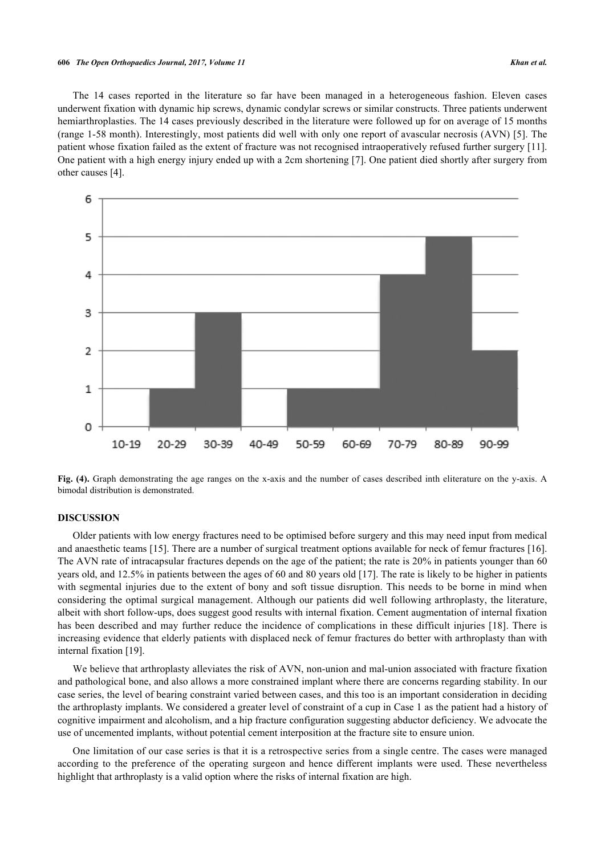### **606** *The Open Orthopaedics Journal, 2017, Volume 11 Khan et al.*

The 14 cases reported in the literature so far have been managed in a heterogeneous fashion. Eleven cases underwent fixation with dynamic hip screws, dynamic condylar screws or similar constructs. Three patients underwent hemiarthroplasties. The 14 cases previously described in the literature were followed up for on average of 15 months (range 1-58 month). Interestingly, most patients did well with only one report of avascular necrosis (AVN) [[5\]](#page-7-4). The patient whose fixation failed as the extent of fracture was not recognised intraoperatively refused further surgery [[11\]](#page-8-1). One patient with a high energy injury ended up with a 2cm shortening [[7\]](#page-7-6). One patient died shortly after surgery from other causes [[4\]](#page-7-3).

<span id="page-6-0"></span>

Fig. (4). Graph demonstrating the age ranges on the x-axis and the number of cases described inth eliterature on the y-axis. A bimodal distribution is demonstrated.

# **DISCUSSION**

Older patients with low energy fractures need to be optimised before surgery and this may need input from medical and anaesthetic teams [[15\]](#page-8-4). There are a number of surgical treatment options available for neck of femur fractures [[16\]](#page-8-5). The AVN rate of intracapsular fractures depends on the age of the patient; the rate is 20% in patients younger than 60 years old, and 12.5% in patients between the ages of 60 and 80 years old [\[17\]](#page-8-6). The rate is likely to be higher in patients with segmental injuries due to the extent of bony and soft tissue disruption. This needs to be borne in mind when considering the optimal surgical management. Although our patients did well following arthroplasty, the literature, albeit with short follow-ups, does suggest good results with internal fixation. Cement augmentation of internal fixation has been described and may further reduce the incidence of complications in these difficult injuries [[18\]](#page-8-7). There is increasing evidence that elderly patients with displaced neck of femur fractures do better with arthroplasty than with internal fixation [[19\]](#page-8-8).

We believe that arthroplasty alleviates the risk of AVN, non-union and mal-union associated with fracture fixation and pathological bone, and also allows a more constrained implant where there are concerns regarding stability. In our case series, the level of bearing constraint varied between cases, and this too is an important consideration in deciding the arthroplasty implants. We considered a greater level of constraint of a cup in Case 1 as the patient had a history of cognitive impairment and alcoholism, and a hip fracture configuration suggesting abductor deficiency. We advocate the use of uncemented implants, without potential cement interposition at the fracture site to ensure union.

One limitation of our case series is that it is a retrospective series from a single centre. The cases were managed according to the preference of the operating surgeon and hence different implants were used. These nevertheless highlight that arthroplasty is a valid option where the risks of internal fixation are high.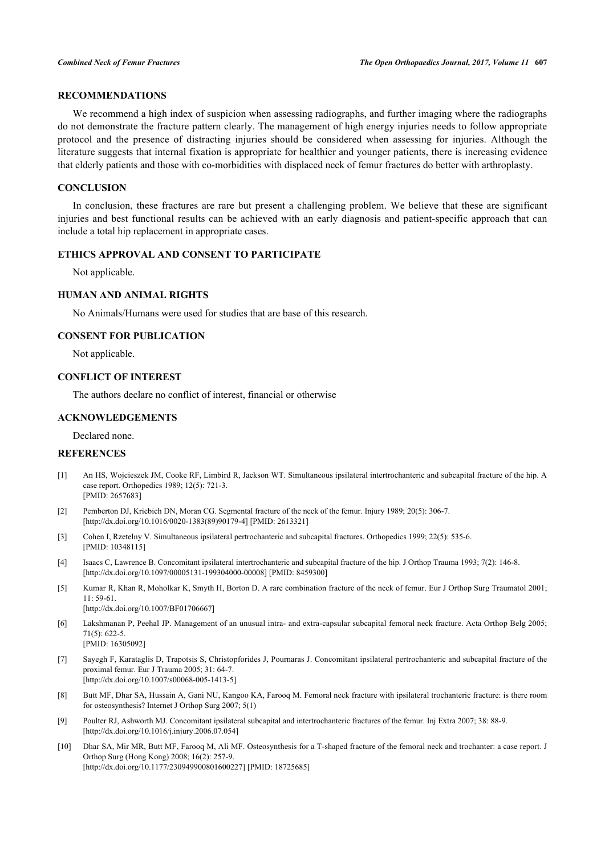# **RECOMMENDATIONS**

We recommend a high index of suspicion when assessing radiographs, and further imaging where the radiographs do not demonstrate the fracture pattern clearly. The management of high energy injuries needs to follow appropriate protocol and the presence of distracting injuries should be considered when assessing for injuries. Although the literature suggests that internal fixation is appropriate for healthier and younger patients, there is increasing evidence that elderly patients and those with co-morbidities with displaced neck of femur fractures do better with arthroplasty.

# **CONCLUSION**

In conclusion, these fractures are rare but present a challenging problem. We believe that these are significant injuries and best functional results can be achieved with an early diagnosis and patient-specific approach that can include a total hip replacement in appropriate cases.

## **ETHICS APPROVAL AND CONSENT TO PARTICIPATE**

Not applicable.

# **HUMAN AND ANIMAL RIGHTS**

No Animals/Humans were used for studies that are base of this research.

### **CONSENT FOR PUBLICATION**

Not applicable.

# **CONFLICT OF INTEREST**

The authors declare no conflict of interest, financial or otherwise

# **ACKNOWLEDGEMENTS**

Declared none.

## **REFERENCES**

- <span id="page-7-0"></span>[1] An HS, Wojcieszek JM, Cooke RF, Limbird R, Jackson WT. Simultaneous ipsilateral intertrochanteric and subcapital fracture of the hip. A case report. Orthopedics 1989; 12(5): 721-3. [PMID: [2657683\]](http://www.ncbi.nlm.nih.gov/pubmed/2657683)
- <span id="page-7-1"></span>[2] Pemberton DJ, Kriebich DN, Moran CG. Segmental fracture of the neck of the femur. Injury 1989; 20(5): 306-7. [\[http://dx.doi.org/10.1016/0020-1383\(89\)90179-4](http://dx.doi.org/10.1016/0020-1383(89)90179-4)] [PMID: [2613321](http://www.ncbi.nlm.nih.gov/pubmed/2613321)]
- <span id="page-7-2"></span>[3] Cohen I, Rzetelny V. Simultaneous ipsilateral pertrochanteric and subcapital fractures. Orthopedics 1999; 22(5): 535-6. [PMID: [10348115\]](http://www.ncbi.nlm.nih.gov/pubmed/10348115)
- <span id="page-7-3"></span>[4] Isaacs C, Lawrence B. Concomitant ipsilateral intertrochanteric and subcapital fracture of the hip. J Orthop Trauma 1993; 7(2): 146-8. [\[http://dx.doi.org/10.1097/00005131-199304000-00008](http://dx.doi.org/10.1097/00005131-199304000-00008)] [PMID: [8459300\]](http://www.ncbi.nlm.nih.gov/pubmed/8459300)
- <span id="page-7-4"></span>[5] Kumar R, Khan R, Moholkar K, Smyth H, Borton D. A rare combination fracture of the neck of femur. Eur J Orthop Surg Traumatol 2001; 11: 59-61. [\[http://dx.doi.org/10.1007/BF01706667\]](http://dx.doi.org/10.1007/BF01706667)
- 
- <span id="page-7-5"></span>[6] Lakshmanan P, Peehal JP. Management of an unusual intra- and extra-capsular subcapital femoral neck fracture. Acta Orthop Belg 2005; 71(5): 622-5. [PMID: [16305092\]](http://www.ncbi.nlm.nih.gov/pubmed/16305092)
- <span id="page-7-6"></span>[7] Sayegh F, Karataglis D, Trapotsis S, Christopforides J, Pournaras J. Concomitant ipsilateral pertrochanteric and subcapital fracture of the proximal femur. Eur J Trauma 2005; 31: 64-7. [\[http://dx.doi.org/10.1007/s00068-005-1413-5\]](http://dx.doi.org/10.1007/s00068-005-1413-5)
- <span id="page-7-7"></span>[8] Butt MF, Dhar SA, Hussain A, Gani NU, Kangoo KA, Farooq M. Femoral neck fracture with ipsilateral trochanteric fracture: is there room for osteosynthesis? Internet J Orthop Surg 2007; 5(1)
- <span id="page-7-8"></span>[9] Poulter RJ, Ashworth MJ. Concomitant ipsilateral subcapital and intertrochanteric fractures of the femur. Inj Extra 2007; 38: 88-9. [\[http://dx.doi.org/10.1016/j.injury.2006.07.054](http://dx.doi.org/10.1016/j.injury.2006.07.054)]
- <span id="page-7-9"></span>[10] Dhar SA, Mir MR, Butt MF, Farooq M, Ali MF. Osteosynthesis for a T-shaped fracture of the femoral neck and trochanter: a case report. J Orthop Surg (Hong Kong) 2008; 16(2): 257-9. [\[http://dx.doi.org/10.1177/230949900801600227\]](http://dx.doi.org/10.1177/230949900801600227) [PMID: [18725685](http://www.ncbi.nlm.nih.gov/pubmed/18725685)]